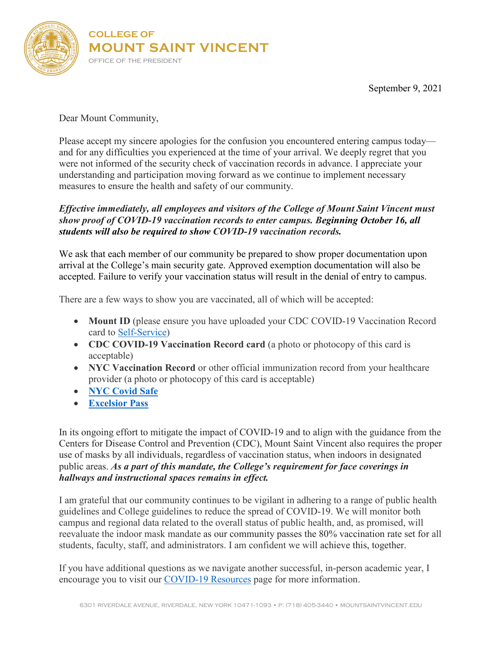

September 9, 2021

Dear Mount Community,

Please accept my sincere apologies for the confusion you encountered entering campus today and for any difficulties you experienced at the time of your arrival. We deeply regret that you were not informed of the security check of vaccination records in advance. I appreciate your understanding and participation moving forward as we continue to implement necessary measures to ensure the health and safety of our community.

## *Effective immediately, all employees and visitors of the College of Mount Saint Vincent must show proof of COVID-19 vaccination records to enter campus. Beginning October 16, all students will also be required to show COVID-19 vaccination records.*

We ask that each member of our community be prepared to show proper documentation upon arrival at the College's main security gate. Approved exemption documentation will also be accepted. Failure to verify your vaccination status will result in the denial of entry to campus.

There are a few ways to show you are vaccinated, all of which will be accepted:

- **Mount ID** (please ensure you have uploaded your CDC COVID-19 Vaccination Record card to [Self-Service\)](https://prodss18.banner.mountsaintvincent.edu:4443/PROD/twbkwbis.P_GenMenu?name=homepage)
- **CDC COVID-19 Vaccination Record card** (a photo or photocopy of this card is acceptable)
- **NYC Vaccination Record** or other official immunization record from your healthcare provider (a photo or photocopy of this card is acceptable)
- **NYC [Covid](https://www1.nyc.gov/site/doh/covid/covid-19-vaccines-keytonyc.page) Safe**
- **[Excelsior](https://covid19vaccine.health.ny.gov/excelsior-pass-and-excelsior-pass-plus) Pass**

In its ongoing effort to mitigate the impact of COVID-19 and to align with the guidance from the Centers for Disease Control and Prevention (CDC), Mount Saint Vincent also requires the proper use of masks by all individuals, regardless of vaccination status, when indoors in designated public areas. *As a part of this mandate, the College's requirement for face coverings in hallways and instructional spaces remains in effect.*

I am grateful that our community continues to be vigilant in adhering to a range of public health guidelines and College guidelines to reduce the spread of COVID-19. We will monitor both campus and regional data related to the overall status of public health, and, as promised, will reevaluate the indoor mask mandate as our community passes the 80% vaccination rate set for all students, faculty, staff, and administrators. I am confident we will achieve this, together.

If you have additional questions as we navigate another successful, in-person academic year, I encourage you to visit our [COVID-19 Resources](https://mountsaintvincent.edu/covid-19-resources/) page for more information.